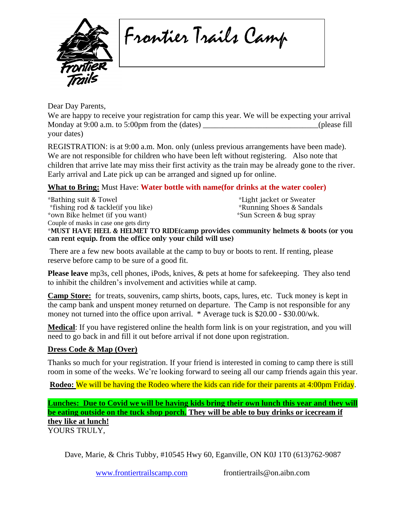

Frontier Trails Camp

Dear Day Parents,

We are happy to receive your registration for camp this year. We will be expecting your arrival Monday at 9:00 a.m. to 5:00pm from the (dates) \_\_\_\_\_\_\_\_\_\_\_\_\_\_\_\_\_\_\_\_\_\_\_\_\_(please fill your dates)

REGISTRATION: is at 9:00 a.m. Mon. only (unless previous arrangements have been made). We are not responsible for children who have been left without registering. Also note that children that arrive late may miss their first activity as the train may be already gone to the river. Early arrival and Late pick up can be arranged and signed up for online.

## **What to Bring:** Must Have: **Water bottle with name(for drinks at the water cooler)**

\*Bathing suit & Towel \*Light jacket or Sweater \*fishing rod & tackle(if you like) \*Running Shoes & Sandals \*own Bike helmet (if you want) \*Sun Screen & bug spray Couple of masks in case one gets dirty \*MUST HAVE HEEL & HELMET TO RIDE(camp provides community helmets & boots (or you can rent equip. from the office only your child will use)

There are a few new boots available at the camp to buy or boots to rent. If renting, please reserve before camp to be sure of a good fit.

**Please leave** mp3s, cell phones, iPods, knives, & pets at home for safekeeping. They also tend to inhibit the children's involvement and activities while at camp.

**Camp Store:** for treats, souvenirs, camp shirts, boots, caps, lures, etc. Tuck money is kept in the camp bank and unspent money returned on departure. The Camp is not responsible for any money not turned into the office upon arrival. \* Average tuck is \$20.00 - \$30.00/wk.

**Medical**: If you have registered online the health form link is on your registration, and you will need to go back in and fill it out before arrival if not done upon registration.

## **Dress Code & Map (Over)**

Thanks so much for your registration. If your friend is interested in coming to camp there is still room in some of the weeks. We're looking forward to seeing all our camp friends again this year.

**Rodeo:** We will be having the Rodeo where the kids can ride for their parents at 4:00pm Friday.

**Lunches: Due to Covid we will be having kids bring their own lunch this year and they will be eating outside on the tuck shop porch. They will be able to buy drinks or icecream if they like at lunch!** YOURS TRULY,

Dave, Marie, & Chris Tubby, #10545 Hwy 60, Eganville, ON K0J 1T0 (613)762-9087

[www.frontiertrailscamp.com](http://www.frontiertrailscamp.com/) frontiertrails@on.aibn.com